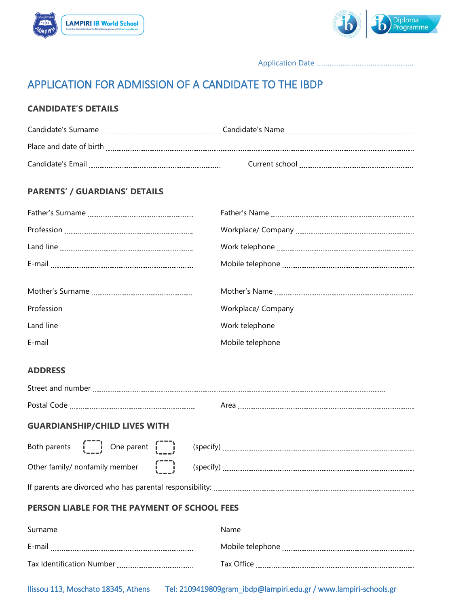



Application Date ……………………………………….……

# APPLICATION FOR ADMISSION OF A CANDIDATE TO THE IBDP

## **CANDIDATE'S DETAILS**

| Place and date of birth |                                             |
|-------------------------|---------------------------------------------|
| Candidate's Email       | Current school <u>continuum communities</u> |

## **PARENTS' / GUARDIANS' DETAILS**

| <b>ADDRESS</b> |  |
|----------------|--|

| <b>GUARDIANSHIP/CHILD LIVES WITH</b>                                                                                  |  |  |
|-----------------------------------------------------------------------------------------------------------------------|--|--|
| Both parents $\begin{bmatrix} 1 & 1 \\ 1 & 1 \end{bmatrix}$ One parent $\begin{bmatrix} 1 & 1 \\ 1 & 1 \end{bmatrix}$ |  |  |
| Other family/ nonfamily member $\begin{bmatrix} - & 1 \\ 1 & 1 \end{bmatrix}$                                         |  |  |
|                                                                                                                       |  |  |
| PERSON LIABLE FOR THE PAYMENT OF SCHOOL FEES                                                                          |  |  |
|                                                                                                                       |  |  |
|                                                                                                                       |  |  |
|                                                                                                                       |  |  |

Ilissou 113, Moschato 18345, Athens Tel: 2109419809gram\_ibdp@lampiri.edu.gr / www.lampiri-schools.gr